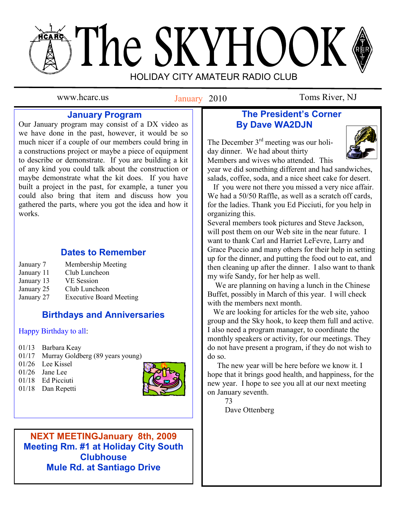# The SKYHOOK HOLIDAY CITY AMATEUR RADIO CLUB

January 2010

www.hcarc.us **Ianuary** 2010 Toms River, NJ

## **January Program**

Our January program may consist of a DX video as we have done in the past, however, it would be so much nicer if a couple of our members could bring in a constructions project or maybe a piece of equipment to describe or demonstrate. If you are building a kit of any kind you could talk about the construction or maybe demonstrate what the kit does. If you have built a project in the past, for example, a tuner you could also bring that item and discuss how you gathered the parts, where you got the idea and how it works.

## **Dates to Remember**

| January 7  | Membership Meeting             |
|------------|--------------------------------|
| January 11 | Club Luncheon                  |
| January 13 | <b>VE</b> Session              |
| January 25 | Club Luncheon                  |
| January 27 | <b>Executive Board Meeting</b> |

## **Birthdays and Anniversaries**

#### Happy Birthday to all:

- 01/13 Barbara Keay
- 01/17 Murray Goldberg (89 years young)
- 01/26 Lee Kissel
- 01/26 Jane Lee
- 01/18 Ed Picciuti
- 01/18 Dan Repetti



**NEXT MEETINGJanuary 8th, 2009 Meeting Rm. #1 at Holiday City South Meeting Clubhouse Mule Rd. at Santiago Drive Mule Rd. at Santiago Drive**

## **The President's Corner By Dave WA2DJN**

The December 3<sup>rd</sup> meeting was our holiday dinner. We had about thirty Members and wives who attended. This



year we did something different and had sandwiches, salads, coffee, soda, and a nice sheet cake for desert.

 If you were not there you missed a very nice affair. We had a 50/50 Raffle, as well as a scratch off cards, for the ladies. Thank you Ed Picciuti, for you help in organizing this.

Several members took pictures and Steve Jackson, will post them on our Web site in the near future. I want to thank Carl and Harriet LeFevre, Larry and Grace Puccio and many others for their help in setting up for the dinner, and putting the food out to eat, and then cleaning up after the dinner. I also want to thank my wife Sandy, for her help as well.

 We are planning on having a lunch in the Chinese Buffet, possibly in March of this year. I will check with the members next month.

 We are looking for articles for the web site, yahoo group and the Sky hook, to keep them full and active. I also need a program manager, to coordinate the monthly speakers or activity, for our meetings. They do not have present a program, if they do not wish to do so.

 The new year will be here before we know it. I hope that it brings good health, and happiness, for the new year. I hope to see you all at our next meeting on January seventh.

 73 Dave Ottenberg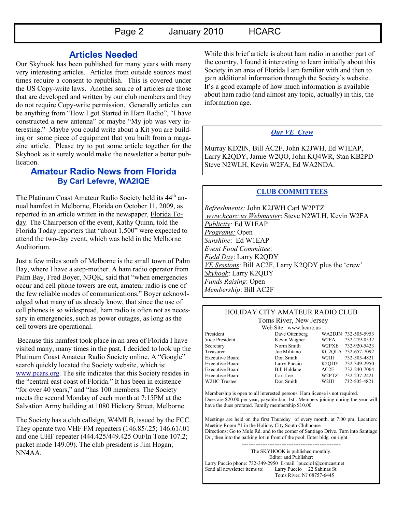Page 2 January 2010 HCARC

#### **Articles Needed**

Our Skyhook has been published for many years with many very interesting articles. Articles from outside sources most times require a consent to republish. This is covered under the US Copy-write laws. Another source of articles are those that are developed and written by our club members and they do not require Copy-write permission. Generally articles can be anything from "How I got Started in Ham Radio", "I have constructed a new antenna" or maybe "My job was very interesting." Maybe you could write about a Kit you are building or some piece of equipment that you built from a magazine article. Please try to put some article together for the Skyhook as it surely would make the newsletter a better publication.

#### **Amateur Radio News from Florida By Carl Lefevre, WA2IQE**

The Platinum Coast Amateur Radio Society held its 44<sup>th</sup> annual hamfest in Melborne, Florida on October 11, 2009, as reported in an article written in the newspaper, Florida Today. The Chairperson of the event, Kathy Quinn, told the Florida Today reporters that "about 1,500" were expected to attend the two-day event, which was held in the Melborne Auditorium.

Just a few miles south of Melborne is the small town of Palm Bay, where I have a step-mother. A ham radio operator from Palm Bay, Fred Boyer, N3QK, said that "when emergencies occur and cell phone towers are out, amateur radio is one of the few reliable modes of communications." Boyer acknowledged what many of us already know, that since the use of cell phones is so widespread, ham radio is often not as necessary in emergencies, such as power outages, as long as the cell towers are operational.

Because this hamfest took place in an area of Florida I have visited many, many times in the past, I decided to look up the Platinum Coast Amateur Radio Society online. A "Google" search quickly located the Society website, which is: [www.pcars.org.](http://www.pcars.org/) The site indicates that this Society resides in the "central east coast of Florida." It has been in existence "for over 40 years," and "has 100 members. The Society meets the second Monday of each month at 7:15PM at the Salvation Army building at 1080 Hickory Street, Melborne.

The Society has a club callsign, W4MLB, issued by the FCC. They operate two VHF FM repeaters (146.85/.25; 146.61/.01 and one UHF repeater (444.425/449.425 Out/In Tone 107.2; packet mode 149.09). The club president is Jim Hogan, NN4AA.

While this brief article is about ham radio in another part of the country, I found it interesting to learn initially about this Society in an area of Florida I am familiar with and then to gain additional information through the Society"s website. It"s a good example of how much information is available about ham radio (and almost any topic, actually) in this, the information age.

#### *Our VE Crew*

Murray KD2IN, Bill AC2F, John K2JWH, Ed W1EAP, Larry K2QDY, Jamie W2QO, John KQ4WR, Stan KB2PD Steve N2WLH, Kevin W2FA, Ed WA2NDA.

#### **CLUB COMMITTEES**

*Refreshments:* John K2JWH Carl W2PTZ *www.hcarc.us Webmaster*: Steve N2WLH, Kevin W2FA *Publicity:* Ed W1EAP *Programs:* Open *Sunshine*: Ed W1EAP *Event Food Committee*: *Field Day*: Larry K2QDY *VE Sessions*: Bill AC2F, Larry K2QDY plus the "crew" *Skyhook*: Larry K2QDY *Funds Raising*: Open *Membership*: Bill AC2F

#### HOLIDAY CITY AMATEUR RADIO CLUB Toms River, New Jersey

Web Site www.hcarc.us<br>Dave Ottenberg

President Dave Ottenberg WA2DJN 732-505-5953 Vice President Kevin Wagner W2FA 732-279-0532 Secretary Norm Smith W2PXE 732-920-5423 Treasurer Joe Militano KC2QLA 732-657-7092 Executive Board Don Smith W2III 732-505-4821 Executive Board Larry Puccio K2QDY 732-349-2950 Executive Board Bill Haldane AC2F 732-240-7064 Executive Board Carl Lee W2PTZ 732-237-2421 W2HC Trustee  $\sim$  Don Smith W2III 732-505-4821

Membership is open to all interested persons. Ham license is not required. Dues are \$20.00 per year, payable Jan. 1st . Members joining during the year will have the dues prorated. Family membership \$10.00

------------------------------------------- Meetings are held on the first Thursday of every month, at 7:00 pm. Location: Meeting Room #1 in the Holiday City South Clubhouse. Directions: Go to Mule Rd. and to the corner of Santiago Drive. Turn into Santiago Dr., then into the parking lot in front of the pool. Enter bldg. on right.

------------------------------------------

The SKYHOOK is published monthly. Editor and Publisher: Larry Puccio phone: 732-349-2950 E-mail lpuccio1@comcast.net<br>Send all newsletter items to: Larry Puccio 22 Sabinas St. Larry Puccio 22 Sabinas St. Toms River, NJ 08757-6445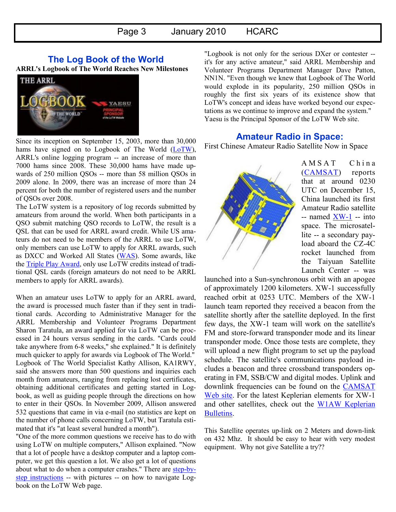#### **The Log Book of the World**

**ARRL's Logbook of The World Reaches New Milestones**



Since its inception on September 15, 2003, more than 30,000 hams have signed on to Logbook of The World  $(LoTW)$ , ARRL's online logging program -- an increase of more than 7000 hams since 2008. These 30,000 hams have made upwards of 250 million QSOs -- more than 58 million QSOs in 2009 alone. In 2009, there was an increase of more than 24 percent for both the number of registered users and the number of QSOs over 2008.

The LoTW system is a repository of log records submitted by amateurs from around the world. When both participants in a QSO submit matching QSO records to LoTW, the result is a QSL that can be used for ARRL award credit. While US amateurs do not need to be members of the ARRL to use LoTW, only members can use LoTW to apply for ARRL awards, such as DXCC and Worked All States [\(WAS\).](http://www.arrl.org/awards/was/) Some awards, like the [Triple Play Award,](http://www.arrl.org/awards/) only use LoTW credits instead of traditional QSL cards (foreign amateurs do not need to be ARRL members to apply for ARRL awards).

When an amateur uses LoTW to apply for an ARRL award, the award is processed much faster than if they sent in traditional cards. According to Administrative Manager for the ARRL Membership and Volunteer Programs Department Sharon Taratula, an award applied for via LoTW can be processed in 24 hours versus sending in the cards. "Cards could take anywhere from 6-8 weeks," she explained." It is definitely much quicker to apply for awards via Logbook of The World." Logbook of The World Specialist Kathy Allison, KA1RWY, said she answers more than 500 questions and inquiries each month from amateurs, ranging from replacing lost certificates, obtaining additional certificates and getting started in Logbook, as well as guiding people through the directions on how to enter in their QSOs. In November 2009, Allison answered 532 questions that came in via e-mail (no statistics are kept on the number of phone calls concerning LoTW, but Taratula estimated that it's "at least several hundred a month").

"One of the more common questions we receive has to do with using LoTW on multiple computers," Allison explained. "Now that a lot of people have a desktop computer and a laptop computer, we get this question a lot. We also get a lot of questions about what to do when a computer crashes." There are [step-by](http://www.arrl.org/lotw/LoTW_SlideShow.ppt)[step instructions](http://www.arrl.org/lotw/LoTW_SlideShow.ppt) -- with pictures -- on how to navigate Logbook on the LoTW Web page.

"Logbook is not only for the serious DXer or contester - it's for any active amateur," said ARRL Membership and Volunteer Programs Department Manager Dave Patton, NN1N. "Even though we knew that Logbook of The World would explode in its popularity, 250 million QSOs in roughly the first six years of its existence show that LoTW's concept and ideas have worked beyond our expectations as we continue to improve and expand the system." Yaesu is the Principal Sponsor of the LoTW Web site.

#### **Amateur Radio in Space:**

First Chinese Amateur Radio Satellite Now in Space



A M S A T C h i n a ([CAMSAT\)](http://www.camsat.cn/) reports that at around 0230 UTC on December 15, China launched its first Amateur Radio satellite -- named [XW-1](http://www.amsat.org/amsat-new/satellites/satInfo.php?satID=116&retURL=satellites/futures.php) -- into space. The microsatellite -- a secondary payload aboard the CZ-4C rocket launched from the Taiyuan Satellite Launch Center -- was

launched into a Sun-synchronous orbit with an apogee of approximately 1200 kilometers. XW-1 successfully reached orbit at 0253 UTC. Members of the XW-1 launch team reported they received a beacon from the satellite shortly after the satellite deployed. In the first few days, the XW-1 team will work on the satellite's FM and store-forward transponder mode and its linear transponder mode. Once those tests are complete, they will upload a new flight program to set up the payload schedule. The satellite's communications payload includes a beacon and three crossband transponders operating in FM, SSB/CW and digital modes. Uplink and downlink frequencies can be found on the [CAMSAT](http://www.camsat.cn/index.php?option=com_content&view=article&id=56&Itemid=67)  [Web site.](http://www.camsat.cn/index.php?option=com_content&view=article&id=56&Itemid=67) For the latest Keplerian elements for XW-1 and other satellites, check out the W1AW Keplerian [Bulletins.](http://www.arrl.org/w1aw/kep/)

This Satellite operates up-link on 2 Meters and down-link on 432 Mhz. It should be easy to hear with very modest equipment. Why not give Satellite a try??